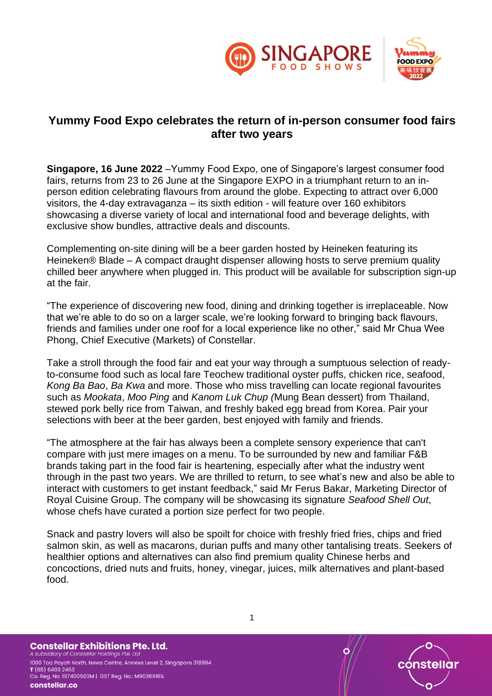

## **Yummy Food Expo celebrates the return of in-person consumer food fairs after two years**

**Singapore, 16 June 2022** –Yummy Food Expo, one of Singapore's largest consumer food fairs, returns from 23 to 26 June at the Singapore EXPO in a triumphant return to an inperson edition celebrating flavours from around the globe. Expecting to attract over 6,000 visitors, the 4-day extravaganza – its sixth edition - will feature over 160 exhibitors showcasing a diverse variety of local and international food and beverage delights, with exclusive show bundles, attractive deals and discounts.

Complementing on-site dining will be a beer garden hosted by Heineken featuring its Heineken® Blade – A compact draught dispenser allowing hosts to serve premium quality chilled beer anywhere when plugged in. This product will be available for subscription sign-up at the fair.

"The experience of discovering new food, dining and drinking together is irreplaceable. Now that we're able to do so on a larger scale, we're looking forward to bringing back flavours, friends and families under one roof for a local experience like no other," said Mr Chua Wee Phong, Chief Executive (Markets) of Constellar.

Take a stroll through the food fair and eat your way through a sumptuous selection of readyto-consume food such as local fare Teochew traditional oyster puffs, chicken rice, seafood, *Kong Ba Bao*, *Ba Kwa* and more. Those who miss travelling can locate regional favourites such as *Mookata*, *Moo Ping* and *Kanom Luk Chup (*Mung Bean dessert) from Thailand, stewed pork belly rice from Taiwan, and freshly baked egg bread from Korea. Pair your selections with beer at the beer garden, best enjoyed with family and friends.

"The atmosphere at the fair has always been a complete sensory experience that can't compare with just mere images on a menu. To be surrounded by new and familiar F&B brands taking part in the food fair is heartening, especially after what the industry went through in the past two years. We are thrilled to return, to see what's new and also be able to interact with customers to get instant feedback," said Mr Ferus Bakar, Marketing Director of Royal Cuisine Group. The company will be showcasing its signature *Seafood Shell Out*, whose chefs have curated a portion size perfect for two people.

Snack and pastry lovers will also be spoilt for choice with freshly fried fries, chips and fried salmon skin, as well as macarons, durian puffs and many other tantalising treats. Seekers of healthier options and alternatives can also find premium quality Chinese herbs and concoctions, dried nuts and fruits, honey, vinegar, juices, milk alternatives and plant-based food.